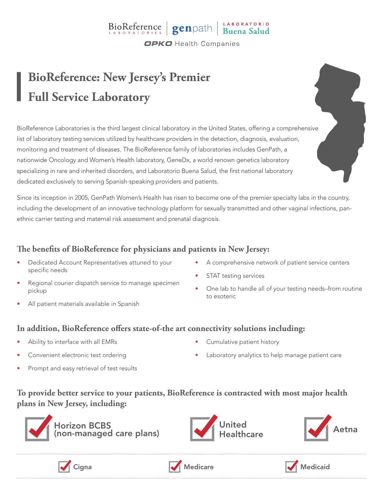## BioReference genpath Buena Salud **OPKO** Health Companies

**BioReference: New Jersey's Premier Full Service Laboratory**

BioReference Laboratories is the third largest clinical laboratory in the United States, offering a comprehensive list of laboratory testing services utilized by healthcare providers in the detection, diagnosis, evaluation, monitoring and treatment of diseases. The BioReference family of laboratories includes GenPath, a nationwide Oncology and Women's Health laboratory, GeneDx, a world renown genetics laboratory specializing in rare and inherited disorders, and Laboratorio Buena Salud, the first national laboratory dedicated exclusively to serving Spanish-speaking providers and patients.

Since its inception in 2005, GenPath Women's Health has risen to become one of the premier specialty labs in the country, including the development of an innovative technology platform for sexually transmitted and other vaginal infections, panethnic carrier testing and maternal risk assessment and prenatal diagnosis.

### **The benefits of BioReference for physicians and patients in New Jersey:**

- Dedicated Account Representatives attuned to your specific needs
- Regional courier dispatch service to manage specimen pickup
- All patient materials available in Spanish
- A comprehensive network of patient service centers
- STAT testing services
- One lab to handle all of your testing needs–from routine to esoteric

#### **In addition, BioReference offers state-of-the art connectivity solutions including:**

- Ability to interface with all EMRs
- Convenient electronic test ordering
- Prompt and easy retrieval of test results
- Cumulative patient history
- Laboratory analytics to help manage patient care

#### **To provide better service to your patients, BioReference is contracted with most major health plans in New Jersey, including:**